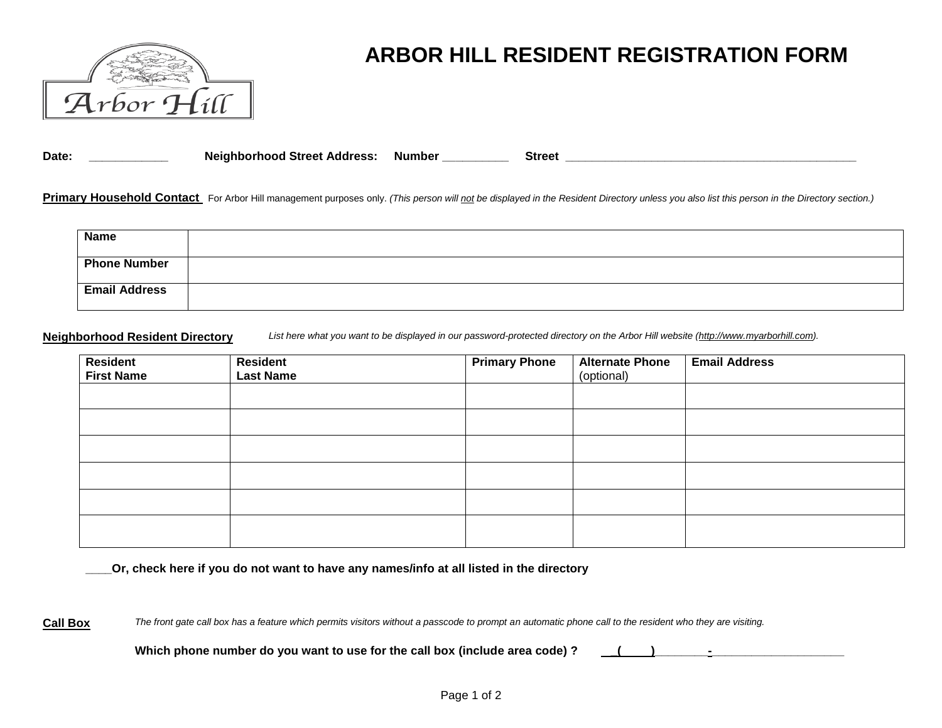

# **ARBOR HILL RESIDENT REGISTRATION FORM**

**Date: \_\_\_\_\_\_\_\_\_\_\_\_ Neighborhood Street Address: Number \_\_\_\_\_\_\_\_\_\_ Street \_\_\_\_\_\_\_\_\_\_\_\_\_\_\_\_\_\_\_\_\_\_\_\_\_\_\_\_\_\_\_\_\_\_\_\_\_\_\_\_\_\_\_\_** 

Primary Household Contact For Arbor Hill management purposes only. (This person will not be displayed in the Resident Directory unless you also list this person in the Directory section.)

| <b>Name</b>          |  |
|----------------------|--|
| <b>Phone Number</b>  |  |
| <b>Email Address</b> |  |

**Neighborhood Resident Directory** *List here what you want to be displayed in our password-protected directory on the Arbor Hill website [\(http://www.myarborhill.com\)](http://www.myarborhill.com/).*

| <b>Resident</b><br><b>First Name</b> | <b>Resident</b><br><b>Last Name</b> | <b>Primary Phone</b> | <b>Alternate Phone</b><br>(optional) | <b>Email Address</b> |
|--------------------------------------|-------------------------------------|----------------------|--------------------------------------|----------------------|
|                                      |                                     |                      |                                      |                      |
|                                      |                                     |                      |                                      |                      |
|                                      |                                     |                      |                                      |                      |
|                                      |                                     |                      |                                      |                      |
|                                      |                                     |                      |                                      |                      |
|                                      |                                     |                      |                                      |                      |

**\_\_\_\_Or, check here if you do not want to have any names/info at all listed in the directory**

Call Box The front gate call box has a feature which permits visitors without a passcode to prompt an automatic phone call to the resident who they are visiting.

Which phone number do you want to use for the call box (include area code) ?  $($   $)$   $($   $)$   $($   $)$   $($   $)$   $($   $)$   $($   $)$   $($   $)$   $($   $)$   $($   $)$   $($   $)$   $($   $)$   $($   $)$   $($   $)$   $($   $)$   $($   $)$   $($   $)$   $($   $)$   $($   $)$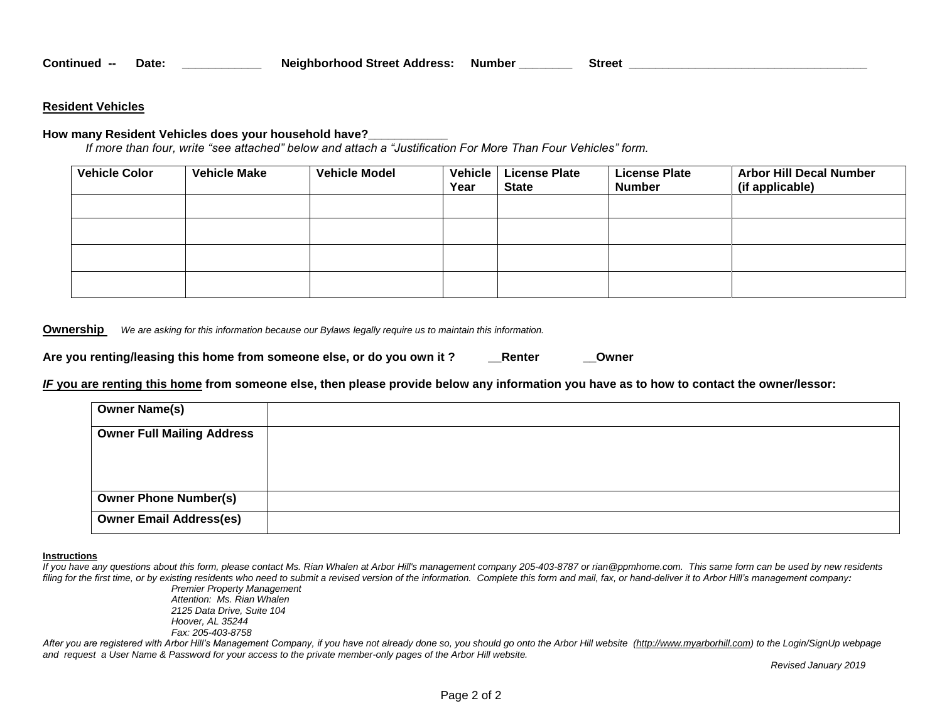### **Resident Vehicles**

#### **How many Resident Vehicles does your household have?\_\_\_\_\_\_\_\_\_\_\_\_**

*If more than four, write "see attached" below and attach a "Justification For More Than Four Vehicles" form.* 

| <b>Vehicle Color</b> | <b>Vehicle Make</b> | <b>Vehicle Model</b> | <b>Vehicle</b><br>Year | <b>License Plate</b><br><b>State</b> | <b>License Plate</b><br><b>Number</b> | <b>Arbor Hill Decal Number</b><br>(if applicable) |
|----------------------|---------------------|----------------------|------------------------|--------------------------------------|---------------------------------------|---------------------------------------------------|
|                      |                     |                      |                        |                                      |                                       |                                                   |
|                      |                     |                      |                        |                                      |                                       |                                                   |
|                      |                     |                      |                        |                                      |                                       |                                                   |
|                      |                     |                      |                        |                                      |                                       |                                                   |

**Ownership** *We are asking for this information because our Bylaws legally require us to maintain this information.* 

| Are you renting/leasing this home from someone else, or do you own it? | Renter | Owner |
|------------------------------------------------------------------------|--------|-------|
|------------------------------------------------------------------------|--------|-------|

*IF* **you are renting this home from someone else, then please provide below any information you have as to how to contact the owner/lessor:**

| <b>Owner Name(s)</b>              |  |
|-----------------------------------|--|
| <b>Owner Full Mailing Address</b> |  |
|                                   |  |
|                                   |  |
| <b>Owner Phone Number(s)</b>      |  |
| <b>Owner Email Address(es)</b>    |  |

#### **Instructions**

If you have any questions about this form, please contact Ms. Rian Whalen at Arbor Hill's management company 205-403-8787 or rian @ppmhome.com. This same form can be used by new residents *filing for the first time, or by existing residents who need to submit a revised version of the information. Complete this form and mail, fax, or hand-deliver it to Arbor Hill's management company:*

*Premier Property Management Attention: Ms. Rian Whalen 2125 Data Drive, Suite 104 Hoover, AL 35244 Fax: 205-403-8758*

*After you are registered with Arbor Hill's Management Company, if you have not already done so, you should go onto the Arbor Hill website [\(http://www.myarborhill.com\)](http://www.myarborhill.com/) to the Login/SignUp webpage and request a User Name & Password for your access to the private member-only pages of the Arbor Hill website.* 

*Revised January 2019*